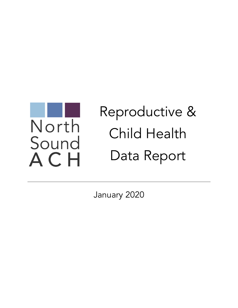

# Reproductive & Child Health Data Report

January 2020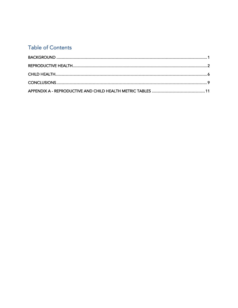## **Table of Contents**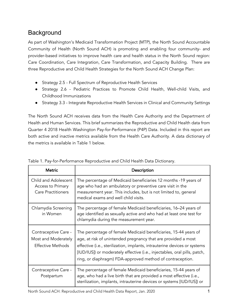# **Background**

As part of Washington's Medicaid Transformation Project (MTP), the North Sound Accountable Community of Health (North Sound ACH) is promoting and enabling four community- and provider-based initiatives to improve health care and health status in the North Sound region: Care Coordination, Care Integration, Care Transformation, and Capacity Building. There are three Reproductive and Child Health Strategies for the North Sound ACH Change Plan:

- Strategy 2.5 Full Spectrum of Reproductive Health Services
- Strategy 2.6 Pediatric Practices to Promote Child Health, Well-child Visits, and Childhood Immunizations
- Strategy 3.3 Integrate Reproductive Health Services in Clinical and Community Settings

The North Sound ACH receives data from the Health Care Authority and the Department of Health and Human Services. This brief summarizes the Reproductive and Child Health data from Quarter 4 2018 Health Washington Pay-for-Performance (P4P) Data. Included in this report are both active and inactive metrics available from the Health Care Authority. A data dictionary of the metrics is available in Table 1 below.

| <b>Metric</b>                                                           | Description                                                                                                                                                                                                                                                                                                                                             |
|-------------------------------------------------------------------------|---------------------------------------------------------------------------------------------------------------------------------------------------------------------------------------------------------------------------------------------------------------------------------------------------------------------------------------------------------|
| Child and Adolescent<br>Access to Primary<br><b>Care Practitioners</b>  | The percentage of Medicaid beneficiaries 12 months -19 years of<br>age who had an ambulatory or preventive care visit in the<br>measurement year. This includes, but is not limited to, general<br>medical exams and well child visits.                                                                                                                 |
| Chlamydia Screening<br>in Women                                         | The percentage of female Medicaid beneficiaries, 16–24 years of<br>age identified as sexually active and who had at least one test for<br>chlamydia during the measurement year.                                                                                                                                                                        |
| Contraceptive Care -<br>Most and Moderately<br><b>Effective Methods</b> | The percentage of female Medicaid beneficiaries, 15-44 years of<br>age, at risk of unintended pregnancy that are provided a most<br>effective (i.e., sterilization, implants, intrauterine devices or systems<br>[IUD/IUS]) or moderately effective (i.e., injectables, oral pills, patch,<br>ring, or diaphragm) FDA-approved method of contraception. |
| Contraceptive Care -<br>Postpartum                                      | The percentage of female Medicaid beneficiaries, 15-44 years of<br>age, who had a live birth that are provided a most effective (i.e.,<br>sterilization, implants, intrauterine devices or systems [IUD/IUS]) or                                                                                                                                        |

|  | Table 1. Pay-for-Performance Reproductive and Child Health Data Dictionary. |  |  |
|--|-----------------------------------------------------------------------------|--|--|
|  |                                                                             |  |  |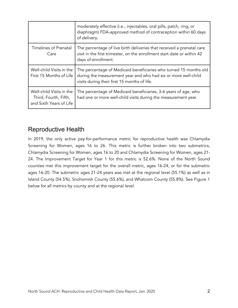|                                                                              | moderately effective (i.e., injectables, oral pills, patch, ring, or<br>diaphragm) FDA-approved method of contraception within 60 days<br>of delivery.                              |
|------------------------------------------------------------------------------|-------------------------------------------------------------------------------------------------------------------------------------------------------------------------------------|
| <b>Timelines of Prenatal</b><br>Care                                         | The percentage of live birth deliveries that received a prenatal care<br>visit in the first trimester, on the enrollment start date or within 42<br>days of enrollment.             |
| Well-child Visits in the<br>First 15 Months of Life                          | The percentage of Medicaid beneficiaries who turned 15 months old<br>during the measurement year and who had six or more well-child<br>visits during their first 15 months of life. |
| Well-child Visits in the<br>Third, Fourth, Fifth,<br>and Sixth Years of Life | The percentage of Medicaid beneficiaries, 3-6 years of age, who<br>had one or more well-child visits during the measurement year.                                                   |

## Reproductive Health

In 2019, the only active pay-for-performance metric for reproductive health was Chlamydia Screening for Women, ages 16 to 26. This metric is further broken into two submetrics, Chlamydia Screening for Women, ages 16 to 20 and Chlamydia Screening for Women, ages 21- 24. The Improvement Target for Year 1 for this metric is 52.6%. None of the North Sound counties met this improvement target for the overall metric, ages 16-24, or for the submetric ages 16-20. The submetric ages 21-24 years was met at the regional level (55.1%) as well as in Island County (54.5%), Snohomish County (55.6%), and Whatcom County (55.8%). See Figure 1 below for all metrics by county and at the regional level.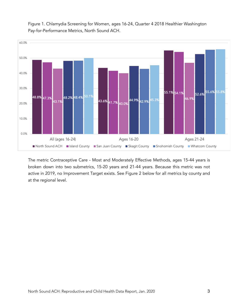

Figure 1. Chlamydia Screening for Women, ages 16-24, Quarter 4 2018 Healthier Washington Pay-for-Performance Metrics, North Sound ACH.

The metric Contraceptive Care - Most and Moderately Effective Methods, ages 15-44 years is broken down into two submetrics, 15-20 years and 21-44 years. Because this metric was not active in 2019, no Improvement Target exists. See Figure 2 below for all metrics by county and at the regional level.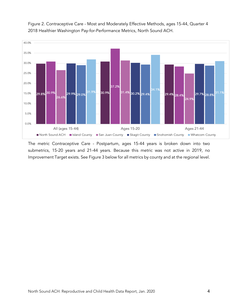

Figure 2. Contraceptive Care - Most and Moderately Effective Methods, ages 15-44, Quarter 4 2018 Healthier Washington Pay-for-Performance Metrics, North Sound ACH.

The metric Contraceptive Care - Postpartum, ages 15-44 years is broken down into two submetrics, 15-20 years and 21-44 years. Because this metric was not active in 2019, no Improvement Target exists. See Figure 3 below for all metrics by county and at the regional level.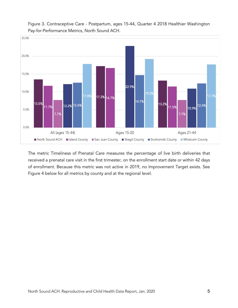

Figure 3. Contraceptive Care - Postpartum, ages 15-44, Quarter 4 2018 Healthier Washington Pay-for-Performance Metrics, North Sound ACH.

The metric Timeliness of Prenatal Care measures the percentage of live birth deliveries that received a prenatal care visit in the first trimester, on the enrollment start date or within 42 days of enrollment. Because this metric was not active in 2019, no Improvement Target exists. See Figure 4 below for all metrics by county and at the regional level.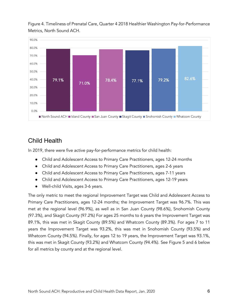

Figure 4. Timeliness of Prenatal Care, Quarter 4 2018 Healthier Washington Pay-for-Performance Metrics, North Sound ACH.

## Child Health

In 2019, there were five active pay-for-performance metrics for child health:

- Child and Adolescent Access to Primary Care Practitioners, ages 12-24 months
- Child and Adolescent Access to Primary Care Practitioners, ages 2-6 years
- Child and Adolescent Access to Primary Care Practitioners, ages 7-11 years
- Child and Adolescent Access to Primary Care Practitioners, ages 12-19 years
- Well-child Visits, ages 3-6 years.

The only metric to meet the regional Improvement Target was Child and Adolescent Access to Primary Care Practitioners, ages 12-24 months; the Improvement Target was 96.7%. This was met at the regional level (96.9%), as well as in San Juan County (98.6%), Snohomish County (97.3%), and Skagit County (97.2%) For ages 25 months to 6 years the Improvement Target was 89.1%, this was met in Skagit County (89.5%) and Whatcom County (89.3%). For ages 7 to 11 years the Improvement Target was 93.2%, this was met in Snohomish County (93.5%) and Whatcom County (94.5%). Finally, for ages 12 to 19 years, the Improvement Target was 93.1%, this was met in Skagit County (93.2%) and Whatcom County (94.4%). See Figure 5 and 6 below for all metrics by county and at the regional level.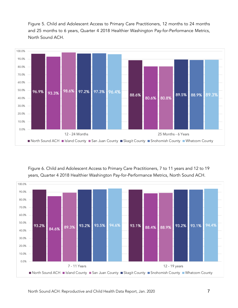Figure 5. Child and Adolescent Access to Primary Care Practitioners, 12 months to 24 months and 25 months to 6 years, Quarter 4 2018 Healthier Washington Pay-for-Performance Metrics, North Sound ACH.



Figure 6. Child and Adolescent Access to Primary Care Practitioners, 7 to 11 years and 12 to 19 years, Quarter 4 2018 Healthier Washington Pay-for-Performance Metrics, North Sound ACH.

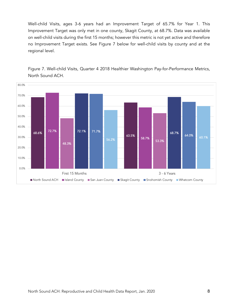Well-child Visits, ages 3-6 years had an Improvement Target of 65.7% for Year 1. This Improvement Target was only met in one county, Skagit County, at 68.7%. Data was available on well-child visits during the first 15 months; however this metric is not yet active and therefore no Improvement Target exists. See Figure 7 below for well-child visits by county and at the regional level.



Figure 7. Well-child Visits, Quarter 4 2018 Healthier Washington Pay-for-Performance Metrics, North Sound ACH.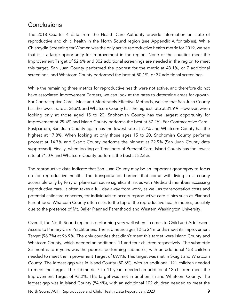## **Conclusions**

The 2018 Quarter 4 data from the Health Care Authority provide information on state of reproductive and child health in the North Sound region (see Appendix A for tables). While Chlamydia Screening for Women was the only active reproductive health metric for 2019, we see that it is a large opportunity for improvement in the region. None of the counties meet the Improvement Target of 52.6% and 302 additional screenings are needed in the region to meet this target. San Juan County performed the poorest for the metric at 43.1%, or 7 additional screenings, and Whatcom County performed the best at 50.1%, or 37 additional screenings.

While the remaining three metrics for reproductive health were not active, and therefore do not have associated Improvement Targets, we can look at the rates to determine areas for growth. For Contraceptive Care - Most and Moderately Effective Methods, we see that San Juan County has the lowest rate at 26.6% and Whatcom County has the highest rate at 31.9%. However, when looking only at those aged 15 to 20, Snohomish County has the largest opportunity for improvement at 29.4% and Island County performs the best at 37.2%. For Contraceptive Care - Postpartum, San Juan County again has the lowest rate at 7.7% and Whatcom County has the highest at 17.8%. When looking at only those ages 15 to 20, Snohomish County performs poorest at 14.7% and Skagit County performs the highest at 22.9% (San Juan County data suppressed). Finally, when looking at Timeliness of Prenatal Care, Island County has the lowest rate at 71.0% and Whatcom County performs the best at 82.6%.

The reproductive data indicate that San Juan County may be an important geography to focus on for reproductive health. The transportation barriers that come with living in a county accessible only by ferry or plane can cause significant issues with Medicaid members accessing reproductive care. It often takes a full day away from work, as well as transportation costs and potential childcare concerns, for individuals to access reproductive care clinics such as Planned Parenthood. Whatcom County often rises to the top of the reproductive health metrics, possibly due to the presence of Mt. Baker Planned Parenthood and Western Washington University.

Overall, the North Sound region is performing very well when it comes to Child and Adolescent Access to Primary Care Practitioners. The submetric ages 12 to 24 months meet its Improvement Target (96.7%) at 96.9%. The only counties that didn't meet this target were Island County and Whatcom County, which needed an additional 11 and four children respectively. The submetric 25 months to 6 years was the poorest performing submetric, with an additional 153 children needed to meet the Improvement Target of 89.1%. This target was met in Skagit and Whatcom County. The largest gap was in Island County (80.6%), with an additional 121 children needed to meet the target. The submetric 7 to 11 years needed an additional 12 children meet the Improvement Target of 93.2%. This target was met in Snohomish and Whatcom County. The largest gap was in Island County (84.6%), with an additional 102 children needed to meet the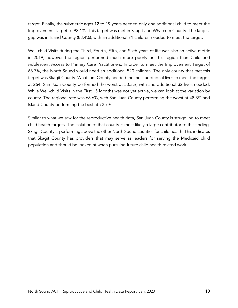target. Finally, the submetric ages 12 to 19 years needed only one additional child to meet the Improvement Target of 93.1%. This target was met in Skagit and Whatcom County. The largest gap was in Island County (88.4%), with an additional 71 children needed to meet the target.

Well-child Visits during the Third, Fourth, Fifth, and Sixth years of life was also an active metric in 2019, however the region performed much more poorly on this region than Child and Adolescent Access to Primary Care Practitioners. In order to meet the Improvement Target of 68.7%, the North Sound would need an additional 520 children. The only county that met this target was Skagit County. Whatcom County needed the most additional lives to meet the target, at 264. San Juan County performed the worst at 53.3%, with and additional 32 lives needed. While Well-child Visits in the First 15 Months was not yet active, we can look at the variation by county. The regional rate was 68.6%, with San Juan County performing the worst at 48.3% and Island County performing the best at 72.7%.

Similar to what we saw for the reproductive health data, San Juan County is struggling to meet child health targets. The isolation of that county is most likely a large contributor to this finding. Skagit County is performing above the other North Sound counties for child health. This indicates that Skagit County has providers that may serve as leaders for serving the Medicaid child population and should be looked at when pursuing future child health related work.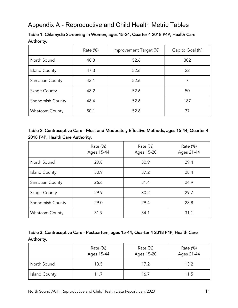## Appendix A - Reproductive and Child Health Metric Tables

|                       | Rate (%) | Improvement Target (%) | Gap to Goal (N) |
|-----------------------|----------|------------------------|-----------------|
| North Sound           | 48.8     | 52.6                   | 302             |
| <b>Island County</b>  | 47.3     | 52.6                   | 22              |
| San Juan County       | 43.1     | 52.6                   |                 |
| <b>Skagit County</b>  | 48.2     | 52.6                   | 50              |
| Snohomish County      | 48.4     | 52.6                   | 187             |
| <b>Whatcom County</b> | 50.1     | 52.6                   | 37              |

#### Table 1. Chlamydia Screening in Women, ages 15-24, Quarter 4 2018 P4P, Health Care Authority.

#### Table 2. Contraceptive Care - Most and Moderately Effective Methods, ages 15-44, Quarter 4 2018 P4P, Health Care Authority.

|                       | Rate (%)<br>Ages 15-44 | Rate (%)<br>Ages 15-20 | Rate (%)<br>Ages 21-44 |
|-----------------------|------------------------|------------------------|------------------------|
| North Sound           | 29.8                   | 30.9                   | 29.4                   |
| <b>Island County</b>  | 30.9                   | 37.2                   | 28.4                   |
| San Juan County       | 26.6                   | 31.4                   | 24.9                   |
| <b>Skagit County</b>  | 29.9                   | 30.2                   | 29.7                   |
| Snohomish County      | 29.0                   | 29.4                   | 28.8                   |
| <b>Whatcom County</b> | 31.9                   | 34.1                   | 31.1                   |

#### Table 3. Contraceptive Care - Postpartum, ages 15-44, Quarter 4 2018 P4P, Health Care Authority.

|                      | Rate (%)<br>Ages 15-44 | Rate (%)<br>Ages 15-20 | Rate (%)<br>Ages 21-44 |
|----------------------|------------------------|------------------------|------------------------|
| North Sound          | 13.5                   | 17.2                   | 13.2                   |
| <b>Island County</b> | 11.7                   | 16.7                   | 11.5                   |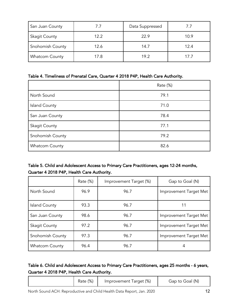| San Juan County      | $\sqrt{1}$ | Data Suppressed | $/$ ./ |
|----------------------|------------|-----------------|--------|
| <b>Skagit County</b> | 12.2       | 22.9            | 10.9   |
| Snohomish County     | 12.6       | 14.7            | 12.4   |
| Whatcom County       | 17.8       | 19.2            | 17.7   |

#### Table 4. Timeliness of Prenatal Care, Quarter 4 2018 P4P, Health Care Authority.

|                       | Rate (%) |
|-----------------------|----------|
| North Sound           | 79.1     |
| <b>Island County</b>  | 71.0     |
| San Juan County       | 78.4     |
| <b>Skagit County</b>  | 77.1     |
| Snohomish County      | 79.2     |
| <b>Whatcom County</b> | 82.6     |

#### Table 5. Child and Adolescent Access to Primary Care Practitioners, ages 12-24 months, Quarter 4 2018 P4P, Health Care Authority.

|                       | Rate (%) | Improvement Target (%) | Gap to Goal (N)        |
|-----------------------|----------|------------------------|------------------------|
| North Sound           | 96.9     | 96.7                   | Improvement Target Met |
| Island County         | 93.3     | 96.7                   | 11                     |
| San Juan County       | 98.6     | 96.7                   | Improvement Target Met |
| <b>Skagit County</b>  | 97.2     | 96.7                   | Improvement Target Met |
| Snohomish County      | 97.3     | 96.7                   | Improvement Target Met |
| <b>Whatcom County</b> | 96.4     | 96.7                   | 4                      |

#### Table 6. Child and Adolescent Access to Primary Care Practitioners, ages 25 months - 6 years, Quarter 4 2018 P4P, Health Care Authority.

|  |  | Rate (%) | Improvement Target (%) | Gap to Goal (N) |
|--|--|----------|------------------------|-----------------|
|--|--|----------|------------------------|-----------------|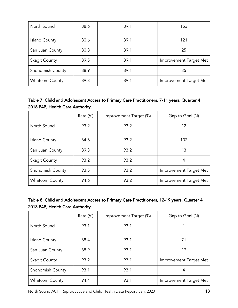| North Sound           | 88.6 | 89.1 | 153                    |
|-----------------------|------|------|------------------------|
| <b>Island County</b>  | 80.6 | 89.1 | 121                    |
| San Juan County       | 80.8 | 89.1 | 25                     |
| <b>Skagit County</b>  | 89.5 | 89.1 | Improvement Target Met |
| Snohomish County      | 88.9 | 89.1 | 35                     |
| <b>Whatcom County</b> | 89.3 | 89.1 | Improvement Target Met |

Table 7. Child and Adolescent Access to Primary Care Practitioners, 7-11 years, Quarter 4 2018 P4P, Health Care Authority.

|                       | Rate (%) | Improvement Target (%) | Gap to Goal (N)        |
|-----------------------|----------|------------------------|------------------------|
| North Sound           | 93.2     | 93.2                   | 12                     |
| <b>Island County</b>  | 84.6     | 93.2                   | 102                    |
| San Juan County       | 89.3     | 93.2                   | 13                     |
| <b>Skagit County</b>  | 93.2     | 93.2                   | 4                      |
| Snohomish County      | 93.5     | 93.2                   | Improvement Target Met |
| <b>Whatcom County</b> | 94.6     | 93.2                   | Improvement Target Met |

| Table 8. Child and Adolescent Access to Primary Care Practitioners, 12-19 years, Quarter 4 |  |
|--------------------------------------------------------------------------------------------|--|
| 2018 P4P, Health Care Authority.                                                           |  |

|                       | Rate (%) | Improvement Target (%) | Gap to Goal (N)        |
|-----------------------|----------|------------------------|------------------------|
| North Sound           | 93.1     | 93.1                   |                        |
| <b>Island County</b>  | 88.4     | 93.1                   | 71                     |
| San Juan County       | 88.9     | 93.1                   | 17                     |
| <b>Skagit County</b>  | 93.2     | 93.1                   | Improvement Target Met |
| Snohomish County      | 93.1     | 93.1                   | 4                      |
| <b>Whatcom County</b> | 94.4     | 93.1                   | Improvement Target Met |